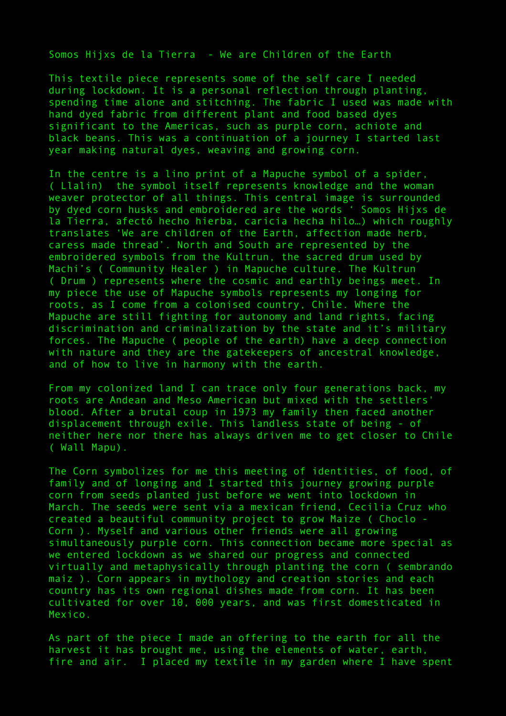Somos Hijxs de la Tierra - We are Children of the Earth

This textile piece represents some of the self care I needed during lockdown. It is a personal reflection through planting, spending time alone and stitching. The fabric I used was made with hand dyed fabric from different plant and food based dyes significant to the Americas, such as purple corn, achiote and black beans. This was a continuation of a journey I started last year making natural dyes, weaving and growing corn.

In the centre is a lino print of a Mapuche symbol of a spider, ( Llalin) the symbol itself represents knowledge and the woman weaver protector of all things. This central image is surrounded by dyed corn husks and embroidered are the words ' Somos Hijxs de la Tierra, afectó hecho hierba, caricia hecha hilo…) which roughly translates 'We are children of the Earth, affection made herb, caress made thread'. North and South are represented by the embroidered symbols from the Kultrun, the sacred drum used by Machi's ( Community Healer ) in Mapuche culture. The Kultrun ( Drum ) represents where the cosmic and earthly beings meet. In my piece the use of Mapuche symbols represents my longing for roots, as I come from a colonised country, Chile. Where the Mapuche are still fighting for autonomy and land rights, facing discrimination and criminalization by the state and it's military forces. The Mapuche ( people of the earth) have a deep connection with nature and they are the gatekeepers of ancestral knowledge, and of how to live in harmony with the earth.

From my colonized land I can trace only four generations back, my roots are Andean and Meso American but mixed with the settlers' blood. After a brutal coup in 1973 my family then faced another displacement through exile. This landless state of being - of neither here nor there has always driven me to get closer to Chile ( Wall Mapu).

The Corn symbolizes for me this meeting of identities, of food, of family and of longing and I started this journey growing purple corn from seeds planted just before we went into lockdown in March. The seeds were sent via a mexican friend, Cecilia Cruz who created a beautiful community project to grow Maize ( Choclo - Corn ). Myself and various other friends were all growing simultaneously purple corn. This connection became more special as we entered lockdown as we shared our progress and connected virtually and metaphysically through planting the corn ( sembrando maiz ). Corn appears in mythology and creation stories and each country has its own regional dishes made from corn. It has been cultivated for over 10, 000 years, and was first domesticated in Mexico.

As part of the piece I made an offering to the earth for all the harvest it has brought me, using the elements of water, earth, fire and air. I placed my textile in my garden where I have spent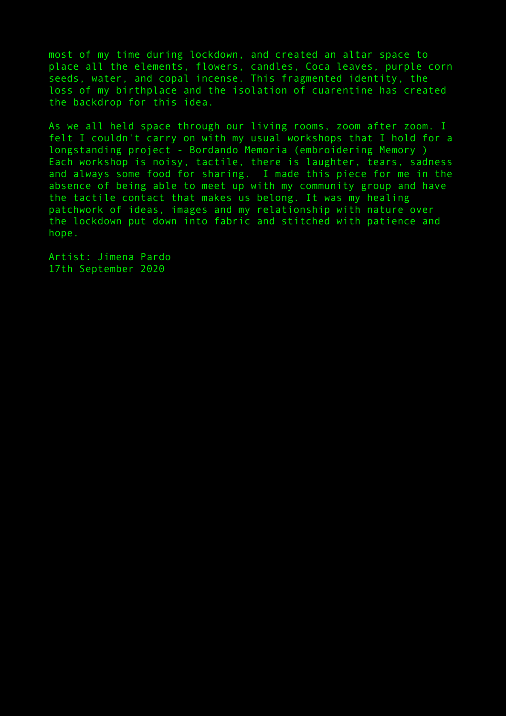most of my time during lockdown, and created an altar space to place all the elements, flowers, candles, Coca leaves, purple corn seeds, water, and copal incense. This fragmented identity, the loss of my birthplace and the isolation of cuarentine has created the backdrop for this idea.

As we all held space through our living rooms, zoom after zoom. I felt I couldn't carry on with my usual workshops that I hold for a longstanding project - Bordando Memoria (embroidering Memory ) Each workshop is noisy, tactile, there is laughter, tears, sadness and always some food for sharing. I made this piece for me in the absence of being able to meet up with my community group and have the tactile contact that makes us belong. It was my healing patchwork of ideas, images and my relationship with nature over the lockdown put down into fabric and stitched with patience and hope.

Artist: Jimena Pardo 17th September 2020